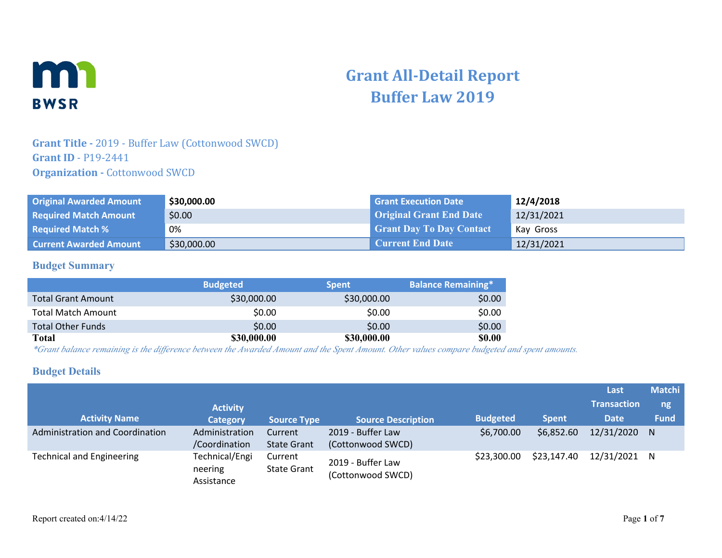

# **Grant All-Detail Report Buffer Law 2019**

## **Grant Title -** 2019 - Buffer Law (Cottonwood SWCD) **Grant ID** - P19-2441 **Organization - Cottonwood SWCD**

| <b>Original Awarded Amount</b> | \$30,000.00 | <b>Grant Execution Date</b>     | 12/4/2018  |
|--------------------------------|-------------|---------------------------------|------------|
| <b>Required Match Amount</b>   | \$0.00      | <b>Original Grant End Date</b>  | 12/31/2021 |
| <b>Required Match %</b>        | 0%          | <b>Grant Day To Day Contact</b> | Kay Gross  |
| <b>Current Awarded Amount</b>  | \$30,000.00 | <b>Current End Date</b>         | 12/31/2021 |

## **Budget Summary**

|                           | <b>Budgeted</b> | <b>Spent</b> | <b>Balance Remaining*</b> |
|---------------------------|-----------------|--------------|---------------------------|
| <b>Total Grant Amount</b> | \$30,000.00     | \$30,000.00  | \$0.00                    |
| <b>Total Match Amount</b> | \$0.00          | \$0.00       | \$0.00                    |
| <b>Total Other Funds</b>  | \$0.00          | \$0.00       | \$0.00                    |
| Total                     | \$30,000.00     | \$30,000.00  | <b>\$0.00</b>             |

*\*Grant balance remaining is the difference between the Awarded Amount and the Spent Amount. Other values compare budgeted and spent amounts.*

## **Budget Details**

|                                  |                                         |                               |                                        |                 |              | Last               | <b>Matchi</b> |
|----------------------------------|-----------------------------------------|-------------------------------|----------------------------------------|-----------------|--------------|--------------------|---------------|
|                                  | <b>Activity</b>                         |                               |                                        |                 |              | <b>Transaction</b> | ng            |
| <b>Activity Name</b>             | <b>Category</b>                         | <b>Source Type</b>            | <b>Source Description</b>              | <b>Budgeted</b> | <b>Spent</b> | <b>Date</b>        | <b>Fund</b>   |
| Administration and Coordination  | Administration<br>/Coordination         | Current<br><b>State Grant</b> | 2019 - Buffer Law<br>(Cottonwood SWCD) | \$6,700.00      | \$6,852.60   | 12/31/2020 N       |               |
| <b>Technical and Engineering</b> | Technical/Engi<br>neering<br>Assistance | Current<br><b>State Grant</b> | 2019 - Buffer Law<br>(Cottonwood SWCD) | \$23,300.00     | \$23,147.40  | 12/31/2021 N       |               |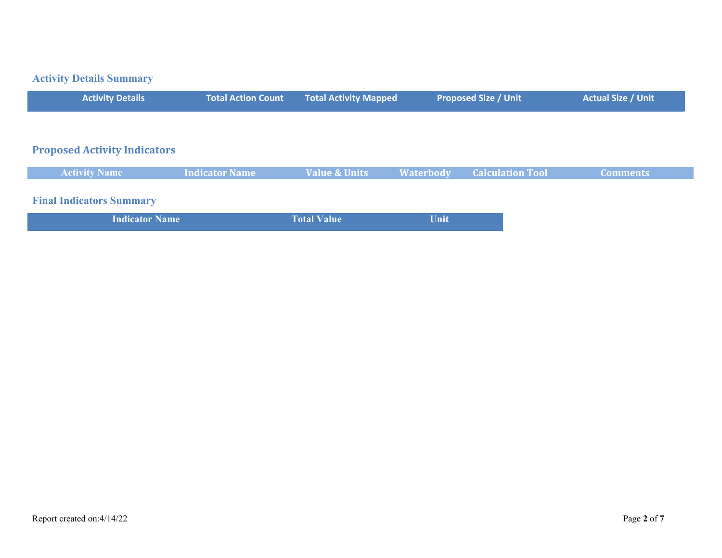## **Activity Details Summary**

| <b>Activity Details</b>             | <b>Total Action Count</b> | <b>Total Activity Mapped</b> |                  | <b>Proposed Size / Unit</b> | <b>Actual Size / Unit</b> |
|-------------------------------------|---------------------------|------------------------------|------------------|-----------------------------|---------------------------|
|                                     |                           |                              |                  |                             |                           |
| <b>Proposed Activity Indicators</b> |                           |                              |                  |                             |                           |
| <b>Activity Name</b>                | <b>Indicator Name</b>     | <b>Value &amp; Units</b>     | <b>Waterbody</b> | <b>Calculation Tool</b>     | <b>Comments</b>           |
| <b>Final Indicators Summary</b>     |                           |                              |                  |                             |                           |
| <b>Indicator Name</b>               |                           | <b>Total Value</b>           | Unit             |                             |                           |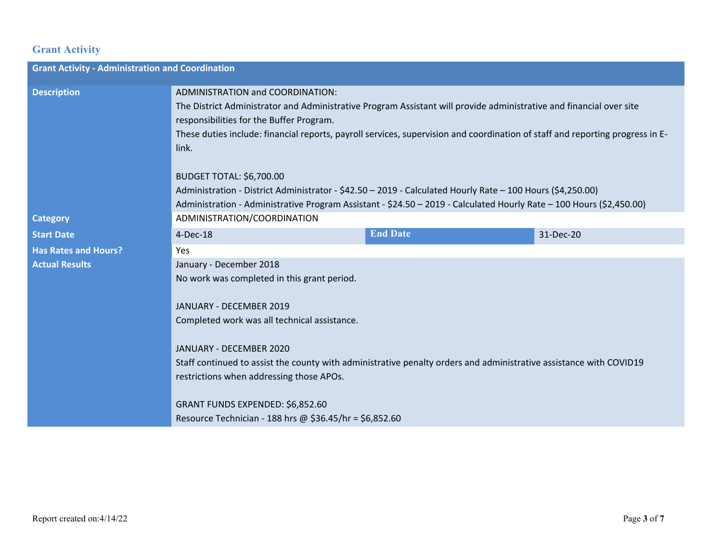## **Grant Activity**

| <b>Grant Activity - Administration and Coordination</b> |                                                                                                                                                                                                                                                                                                                                                |                 |           |  |
|---------------------------------------------------------|------------------------------------------------------------------------------------------------------------------------------------------------------------------------------------------------------------------------------------------------------------------------------------------------------------------------------------------------|-----------------|-----------|--|
| <b>Description</b>                                      | ADMINISTRATION and COORDINATION:<br>The District Administrator and Administrative Program Assistant will provide administrative and financial over site<br>responsibilities for the Buffer Program.<br>These duties include: financial reports, payroll services, supervision and coordination of staff and reporting progress in E-<br>link.  |                 |           |  |
| <b>Category</b>                                         | <b>BUDGET TOTAL: \$6,700.00</b><br>Administration - District Administrator - \$42.50 - 2019 - Calculated Hourly Rate - 100 Hours (\$4,250.00)<br>Administration - Administrative Program Assistant - \$24.50 - 2019 - Calculated Hourly Rate - 100 Hours (\$2,450.00)                                                                          |                 |           |  |
| <b>Start Date</b>                                       | ADMINISTRATION/COORDINATION<br>4-Dec-18                                                                                                                                                                                                                                                                                                        | <b>End Date</b> | 31-Dec-20 |  |
| <b>Has Rates and Hours?</b>                             | Yes                                                                                                                                                                                                                                                                                                                                            |                 |           |  |
| <b>Actual Results</b>                                   | January - December 2018<br>No work was completed in this grant period.<br>JANUARY - DECEMBER 2019<br>Completed work was all technical assistance.<br>JANUARY - DECEMBER 2020<br>Staff continued to assist the county with administrative penalty orders and administrative assistance with COVID19<br>restrictions when addressing those APOs. |                 |           |  |
|                                                         | GRANT FUNDS EXPENDED: \$6,852.60<br>Resource Technician - 188 hrs @ \$36.45/hr = \$6,852.60                                                                                                                                                                                                                                                    |                 |           |  |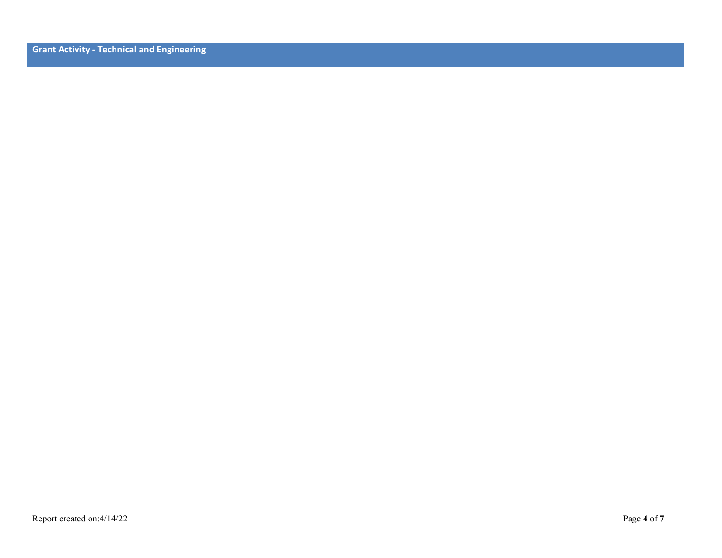**Grant Activity - Technical and Engineering**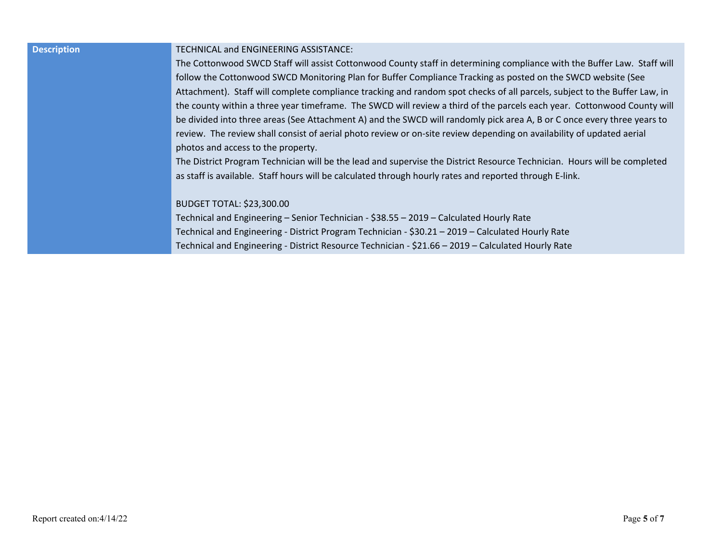### **Description** TECHNICAL and ENGINEERING ASSISTANCE:

The Cottonwood SWCD Staff will assist Cottonwood County staff in determining compliance with the Buffer Law. Staff will follow the Cottonwood SWCD Monitoring Plan for Buffer Compliance Tracking as posted on the SWCD website (See Attachment). Staff will complete compliance tracking and random spot checks of all parcels, subject to the Buffer Law, in the county within a three year timeframe. The SWCD will review a third of the parcels each year. Cottonwood County will be divided into three areas (See Attachment A) and the SWCD will randomly pick area A, B or C once every three years to review. The review shall consist of aerial photo review or on-site review depending on availability of updated aerial photos and access to the property.

The District Program Technician will be the lead and supervise the District Resource Technician. Hours will be completed as staff is available. Staff hours will be calculated through hourly rates and reported through E-link.

#### BUDGET TOTAL: \$23,300.00

Technical and Engineering – Senior Technician - \$38.55 – 2019 – Calculated Hourly Rate Technical and Engineering - District Program Technician - \$30.21 – 2019 – Calculated Hourly Rate Technical and Engineering - District Resource Technician - \$21.66 – 2019 – Calculated Hourly Rate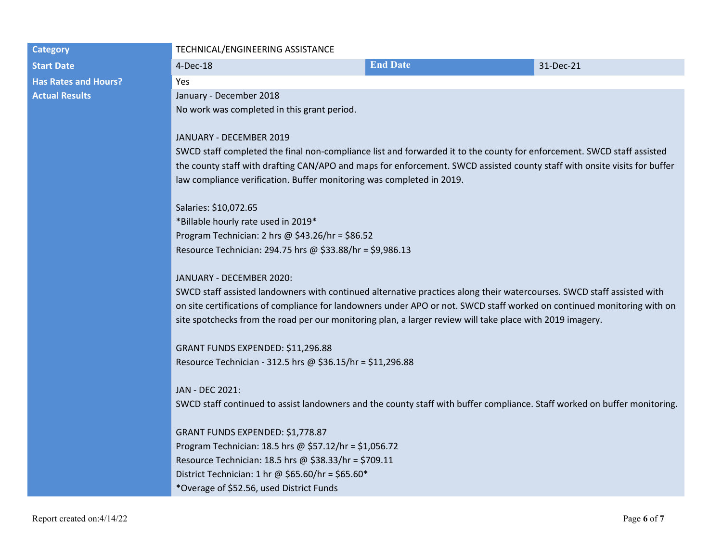### **Category TECHNICAL/ENGINEERING ASSISTANCE**

| <b>Start Date</b>           | 4-Dec-18                | <b>End Date</b> | 31-Dec-21 |
|-----------------------------|-------------------------|-----------------|-----------|
| <b>Has Rates and Hours?</b> | Yes                     |                 |           |
| <b>Actual Results</b>       | January - December 2018 |                 |           |

No work was completed in this grant period.

### JANUARY - DECEMBER 2019

SWCD staff completed the final non-compliance list and forwarded it to the county for enforcement. SWCD staff assisted the county staff with drafting CAN/APO and maps for enforcement. SWCD assisted county staff with onsite visits for buffer law compliance verification. Buffer monitoring was completed in 2019.

Salaries: \$10,072.65 \*Billable hourly rate used in 2019\* Program Technician: 2 hrs @ \$43.26/hr = \$86.52 Resource Technician: 294.75 hrs @ \$33.88/hr = \$9,986.13

### JANUARY - DECEMBER 2020:

SWCD staff assisted landowners with continued alternative practices along their watercourses. SWCD staff assisted with on site certifications of compliance for landowners under APO or not. SWCD staff worked on continued monitoring with on site spotchecks from the road per our monitoring plan, a larger review will take place with 2019 imagery.

GRANT FUNDS EXPENDED: \$11,296.88 Resource Technician - 312.5 hrs @ \$36.15/hr = \$11,296.88

JAN - DEC 2021: SWCD staff continued to assist landowners and the county staff with buffer compliance. Staff worked on buffer monitoring.

GRANT FUNDS EXPENDED: \$1,778.87 Program Technician: 18.5 hrs @ \$57.12/hr = \$1,056.72 Resource Technician: 18.5 hrs @ \$38.33/hr = \$709.11 District Technician: 1 hr @ \$65.60/hr = \$65.60\* \*Overage of \$52.56, used District Funds